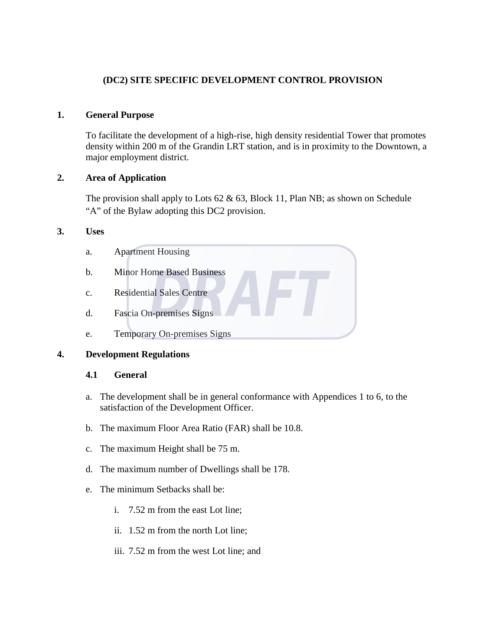# **(DC2) SITE SPECIFIC DEVELOPMENT CONTROL PROVISION**

#### **1. General Purpose**

To facilitate the development of a high-rise, high density residential Tower that promotes density within 200 m of the Grandin LRT station, and is in proximity to the Downtown, a major employment district.

#### **2. Area of Application**

The provision shall apply to Lots  $62 \& 63$ , Block 11, Plan NB; as shown on Schedule "A" of the Bylaw adopting this DC2 provision.

#### **3. Uses**

- a. Apartment Housing
- b. Minor Home Based Business
- c. Residential Sales Centre
- d. Fascia On-premises Signs
- e. Temporary On-premises Signs

#### **4. Development Regulations**

#### **4.1 General**

- a. The development shall be in general conformance with Appendices 1 to 6, to the satisfaction of the Development Officer.
- b. The maximum Floor Area Ratio (FAR) shall be 10.8.
- c. The maximum Height shall be 75 m.
- d. The maximum number of Dwellings shall be 178.
- e. The minimum Setbacks shall be:
	- i. 7.52 m from the east Lot line;
	- ii. 1.52 m from the north Lot line;
	- iii. 7.52 m from the west Lot line; and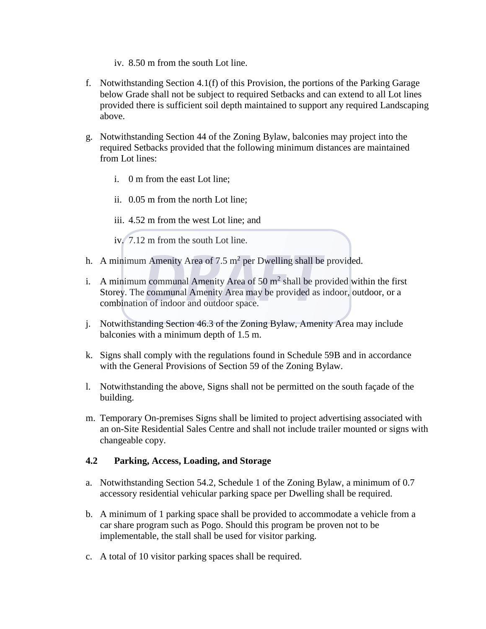- iv. 8.50 m from the south Lot line.
- f. Notwithstanding Section 4.1(f) of this Provision, the portions of the Parking Garage below Grade shall not be subject to required Setbacks and can extend to all Lot lines provided there is sufficient soil depth maintained to support any required Landscaping above.
- g. Notwithstanding Section 44 of the Zoning Bylaw, balconies may project into the required Setbacks provided that the following minimum distances are maintained from Lot lines:
	- i. 0 m from the east Lot line;
	- ii. 0.05 m from the north Lot line;

iii. 4.52 m from the west Lot line; and

iv. 7.12 m from the south Lot line.

- h. A minimum Amenity Area of 7.5  $m^2$  per Dwelling shall be provided.
- i. A minimum communal Amenity Area of  $50 \text{ m}^2$  shall be provided within the first Storey. The communal Amenity Area may be provided as indoor, outdoor, or a combination of indoor and outdoor space.
- j. Notwithstanding Section 46.3 of the Zoning Bylaw, Amenity Area may include balconies with a minimum depth of 1.5 m.
- k. Signs shall comply with the regulations found in Schedule 59B and in accordance with the General Provisions of Section 59 of the Zoning Bylaw.
- l. Notwithstanding the above, Signs shall not be permitted on the south façade of the building.
- m. Temporary On-premises Signs shall be limited to project advertising associated with an on-Site Residential Sales Centre and shall not include trailer mounted or signs with changeable copy.

# **4.2 Parking, Access, Loading, and Storage**

- a. Notwithstanding Section 54.2, Schedule 1 of the Zoning Bylaw, a minimum of 0.7 accessory residential vehicular parking space per Dwelling shall be required.
- b. A minimum of 1 parking space shall be provided to accommodate a vehicle from a car share program such as Pogo. Should this program be proven not to be implementable, the stall shall be used for visitor parking.
- c. A total of 10 visitor parking spaces shall be required.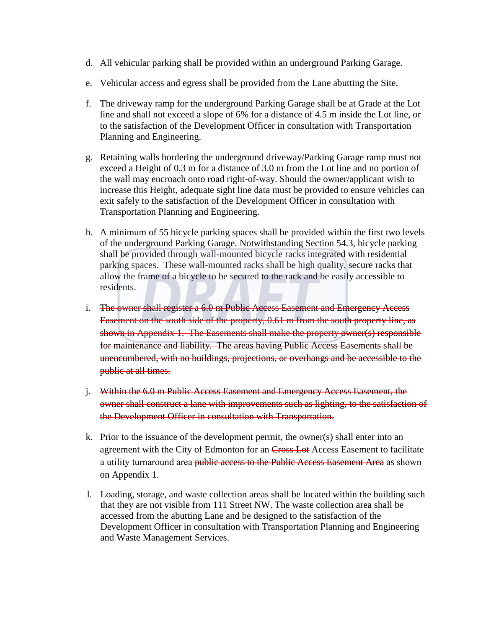- d. All vehicular parking shall be provided within an underground Parking Garage.
- e. Vehicular access and egress shall be provided from the Lane abutting the Site.
- f. The driveway ramp for the underground Parking Garage shall be at Grade at the Lot line and shall not exceed a slope of 6% for a distance of 4.5 m inside the Lot line, or to the satisfaction of the Development Officer in consultation with Transportation Planning and Engineering.
- g. Retaining walls bordering the underground driveway/Parking Garage ramp must not exceed a Height of 0.3 m for a distance of 3.0 m from the Lot line and no portion of the wall may encroach onto road right-of-way. Should the owner/applicant wish to increase this Height, adequate sight line data must be provided to ensure vehicles can exit safely to the satisfaction of the Development Officer in consultation with Transportation Planning and Engineering.
- h. A minimum of 55 bicycle parking spaces shall be provided within the first two levels of the underground Parking Garage. Notwithstanding Section 54.3, bicycle parking shall be provided through wall-mounted bicycle racks integrated with residential parking spaces. These wall-mounted racks shall be high quality, secure racks that allow the frame of a bicycle to be secured to the rack and be easily accessible to residents.
- i. The owner shall register a 6.0 m Public Access Easement and Emergency Access Easement on the south side of the property, 0.61 m from the south property line, as shown in Appendix 1. The Easements shall make the property owner(s) responsible for maintenance and liability. The areas having Public Access Easements shall be unencumbered, with no buildings, projections, or overhangs and be accessible to the public at all times.
- j. Within the 6.0 m Public Access Easement and Emergency Access Easement, the owner shall construct a lane with improvements such as lighting, to the satisfaction of the Development Officer in consultation with Transportation.
- k. Prior to the issuance of the development permit, the owner(s) shall enter into an agreement with the City of Edmonton for an Cross Lot Access Easement to facilitate a utility turnaround area public access to the Public Access Easement Area as shown on Appendix 1.
- l. Loading, storage, and waste collection areas shall be located within the building such that they are not visible from 111 Street NW. The waste collection area shall be accessed from the abutting Lane and be designed to the satisfaction of the Development Officer in consultation with Transportation Planning and Engineering and Waste Management Services.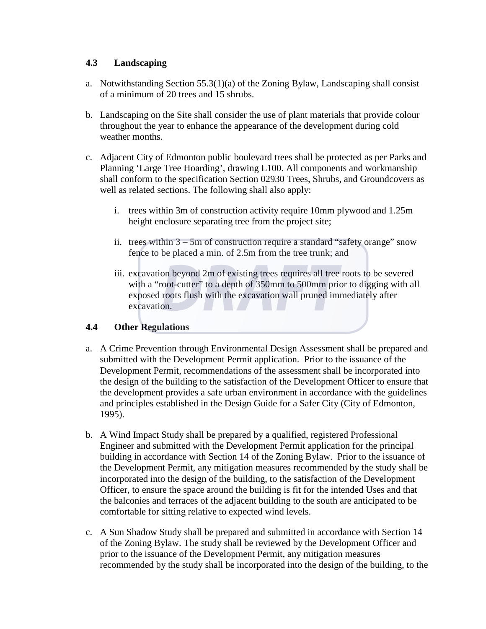### **4.3 Landscaping**

- a. Notwithstanding Section  $55.3(1)(a)$  of the Zoning Bylaw, Landscaping shall consist of a minimum of 20 trees and 15 shrubs.
- b. Landscaping on the Site shall consider the use of plant materials that provide colour throughout the year to enhance the appearance of the development during cold weather months.
- c. Adjacent City of Edmonton public boulevard trees shall be protected as per Parks and Planning 'Large Tree Hoarding', drawing L100. All components and workmanship shall conform to the specification Section 02930 Trees, Shrubs, and Groundcovers as well as related sections. The following shall also apply:
	- i. trees within 3m of construction activity require 10mm plywood and 1.25m height enclosure separating tree from the project site;
	- ii. trees within  $3 5m$  of construction require a standard "safety orange" snow fence to be placed a min. of 2.5m from the tree trunk; and
	- iii. excavation beyond 2m of existing trees requires all tree roots to be severed with a "root-cutter" to a depth of 350mm to 500mm prior to digging with all exposed roots flush with the excavation wall pruned immediately after excavation.

# **4.4 Other Regulations**

- a. A Crime Prevention through Environmental Design Assessment shall be prepared and submitted with the Development Permit application. Prior to the issuance of the Development Permit, recommendations of the assessment shall be incorporated into the design of the building to the satisfaction of the Development Officer to ensure that the development provides a safe urban environment in accordance with the guidelines and principles established in the Design Guide for a Safer City (City of Edmonton, 1995).
- b. A Wind Impact Study shall be prepared by a qualified, registered Professional Engineer and submitted with the Development Permit application for the principal building in accordance with Section 14 of the Zoning Bylaw. Prior to the issuance of the Development Permit, any mitigation measures recommended by the study shall be incorporated into the design of the building, to the satisfaction of the Development Officer, to ensure the space around the building is fit for the intended Uses and that the balconies and terraces of the adjacent building to the south are anticipated to be comfortable for sitting relative to expected wind levels.
- c. A Sun Shadow Study shall be prepared and submitted in accordance with Section 14 of the Zoning Bylaw. The study shall be reviewed by the Development Officer and prior to the issuance of the Development Permit, any mitigation measures recommended by the study shall be incorporated into the design of the building, to the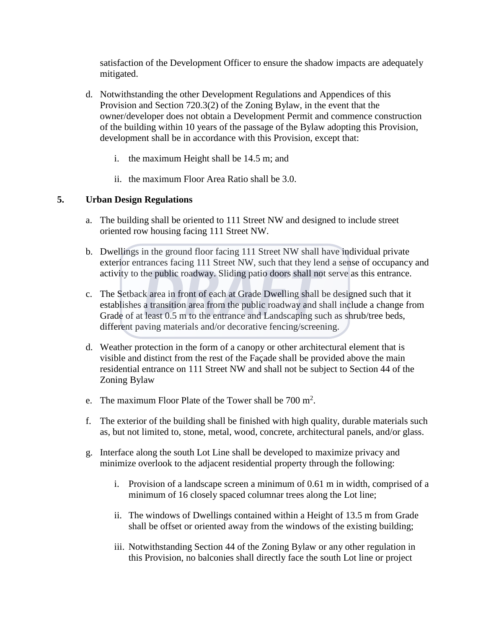satisfaction of the Development Officer to ensure the shadow impacts are adequately mitigated.

- d. Notwithstanding the other Development Regulations and Appendices of this Provision and Section 720.3(2) of the Zoning Bylaw, in the event that the owner/developer does not obtain a Development Permit and commence construction of the building within 10 years of the passage of the Bylaw adopting this Provision, development shall be in accordance with this Provision, except that:
	- i. the maximum Height shall be 14.5 m; and
	- ii. the maximum Floor Area Ratio shall be 3.0.

# **5. Urban Design Regulations**

- a. The building shall be oriented to 111 Street NW and designed to include street oriented row housing facing 111 Street NW.
- b. Dwellings in the ground floor facing 111 Street NW shall have individual private exterior entrances facing 111 Street NW, such that they lend a sense of occupancy and activity to the public roadway. Sliding patio doors shall not serve as this entrance.
- c. The Setback area in front of each at Grade Dwelling shall be designed such that it establishes a transition area from the public roadway and shall include a change from Grade of at least 0.5 m to the entrance and Landscaping such as shrub/tree beds, different paving materials and/or decorative fencing/screening.
- d. Weather protection in the form of a canopy or other architectural element that is visible and distinct from the rest of the Façade shall be provided above the main residential entrance on 111 Street NW and shall not be subject to Section 44 of the Zoning Bylaw
- e. The maximum Floor Plate of the Tower shall be  $700 \text{ m}^2$ .
- f. The exterior of the building shall be finished with high quality, durable materials such as, but not limited to, stone, metal, wood, concrete, architectural panels, and/or glass.
- g. Interface along the south Lot Line shall be developed to maximize privacy and minimize overlook to the adjacent residential property through the following:
	- i. Provision of a landscape screen a minimum of 0.61 m in width, comprised of a minimum of 16 closely spaced columnar trees along the Lot line;
	- ii. The windows of Dwellings contained within a Height of 13.5 m from Grade shall be offset or oriented away from the windows of the existing building;
	- iii. Notwithstanding Section 44 of the Zoning Bylaw or any other regulation in this Provision, no balconies shall directly face the south Lot line or project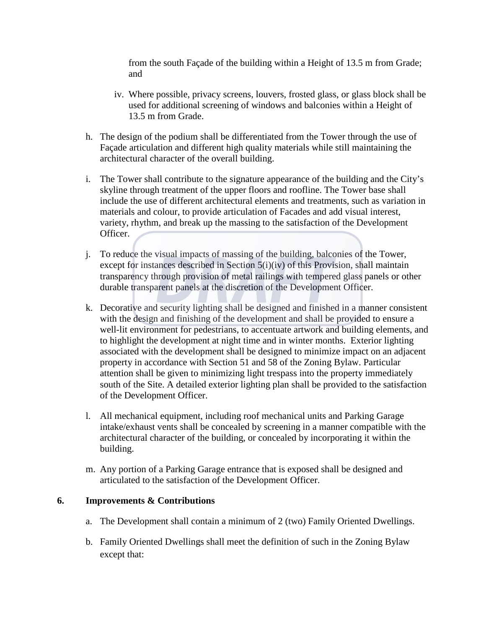from the south Façade of the building within a Height of 13.5 m from Grade; and

- iv. Where possible, privacy screens, louvers, frosted glass, or glass block shall be used for additional screening of windows and balconies within a Height of 13.5 m from Grade.
- h. The design of the podium shall be differentiated from the Tower through the use of Façade articulation and different high quality materials while still maintaining the architectural character of the overall building.
- i. The Tower shall contribute to the signature appearance of the building and the City's skyline through treatment of the upper floors and roofline. The Tower base shall include the use of different architectural elements and treatments, such as variation in materials and colour, to provide articulation of Facades and add visual interest, variety, rhythm, and break up the massing to the satisfaction of the Development Officer.
- j. To reduce the visual impacts of massing of the building, balconies of the Tower, except for instances described in Section 5(i)(iv) of this Provision, shall maintain transparency through provision of metal railings with tempered glass panels or other durable transparent panels at the discretion of the Development Officer.
- k. Decorative and security lighting shall be designed and finished in a manner consistent with the design and finishing of the development and shall be provided to ensure a well-lit environment for pedestrians, to accentuate artwork and building elements, and to highlight the development at night time and in winter months. Exterior lighting associated with the development shall be designed to minimize impact on an adjacent property in accordance with Section 51 and 58 of the Zoning Bylaw. Particular attention shall be given to minimizing light trespass into the property immediately south of the Site. A detailed exterior lighting plan shall be provided to the satisfaction of the Development Officer.
- l. All mechanical equipment, including roof mechanical units and Parking Garage intake/exhaust vents shall be concealed by screening in a manner compatible with the architectural character of the building, or concealed by incorporating it within the building.
- m. Any portion of a Parking Garage entrance that is exposed shall be designed and articulated to the satisfaction of the Development Officer.

#### **6. Improvements & Contributions**

- a. The Development shall contain a minimum of 2 (two) Family Oriented Dwellings.
- b. Family Oriented Dwellings shall meet the definition of such in the Zoning Bylaw except that: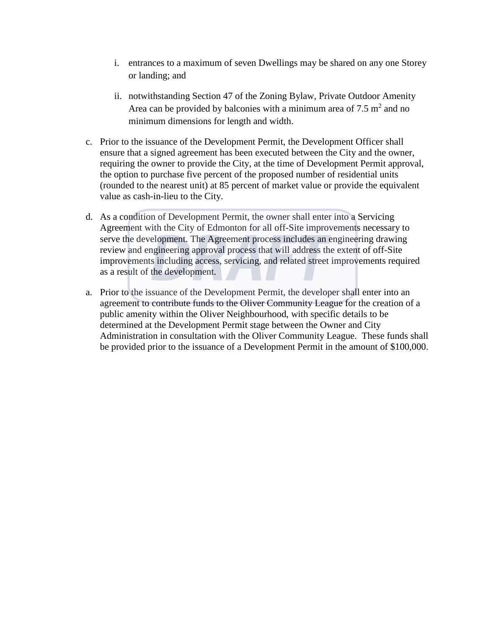- i. entrances to a maximum of seven Dwellings may be shared on any one Storey or landing; and
- ii. notwithstanding Section 47 of the Zoning Bylaw, Private Outdoor Amenity Area can be provided by balconies with a minimum area of  $7.5 \text{ m}^2$  and no minimum dimensions for length and width.
- c. Prior to the issuance of the Development Permit, the Development Officer shall ensure that a signed agreement has been executed between the City and the owner, requiring the owner to provide the City, at the time of Development Permit approval, the option to purchase five percent of the proposed number of residential units (rounded to the nearest unit) at 85 percent of market value or provide the equivalent value as cash-in-lieu to the City.
- d. As a condition of Development Permit, the owner shall enter into a Servicing Agreement with the City of Edmonton for all off-Site improvements necessary to serve the development. The Agreement process includes an engineering drawing review and engineering approval process that will address the extent of off-Site improvements including access, servicing, and related street improvements required as a result of the development.
- a. Prior to the issuance of the Development Permit, the developer shall enter into an agreement to contribute funds to the Oliver Community League for the creation of a public amenity within the Oliver Neighbourhood, with specific details to be determined at the Development Permit stage between the Owner and City Administration in consultation with the Oliver Community League. These funds shall be provided prior to the issuance of a Development Permit in the amount of \$100,000.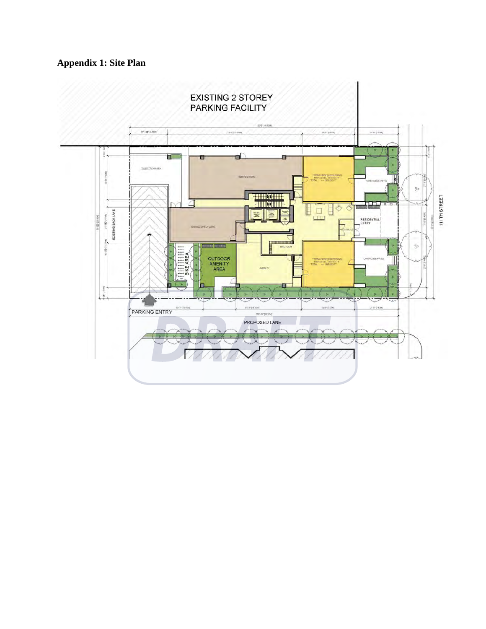# **Appendix 1: Site Plan**

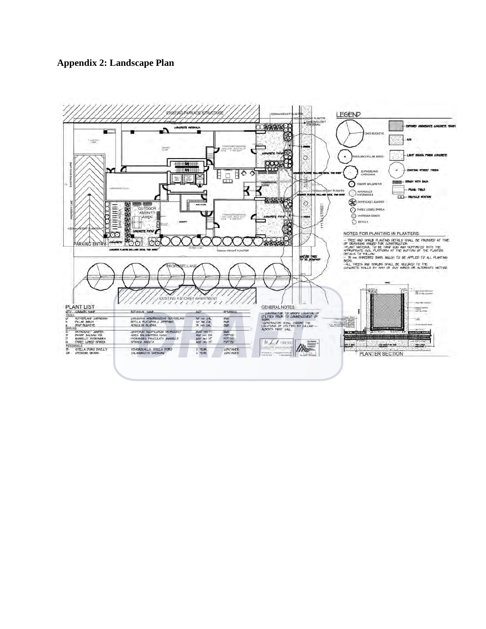# **Appendix 2: Landscape Plan**

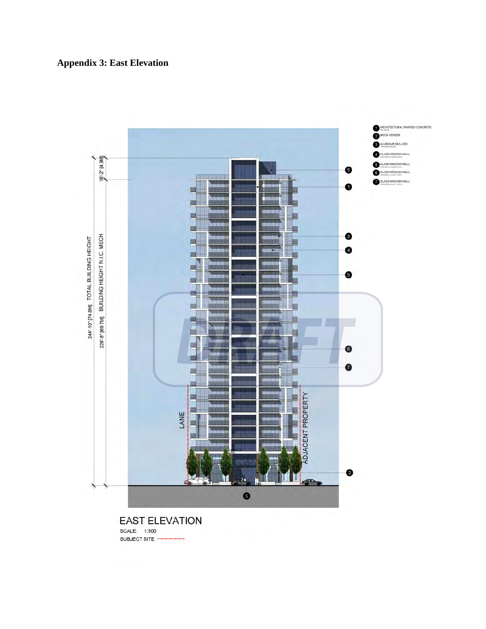



SCALE: 1:500 SUBJECT SITE -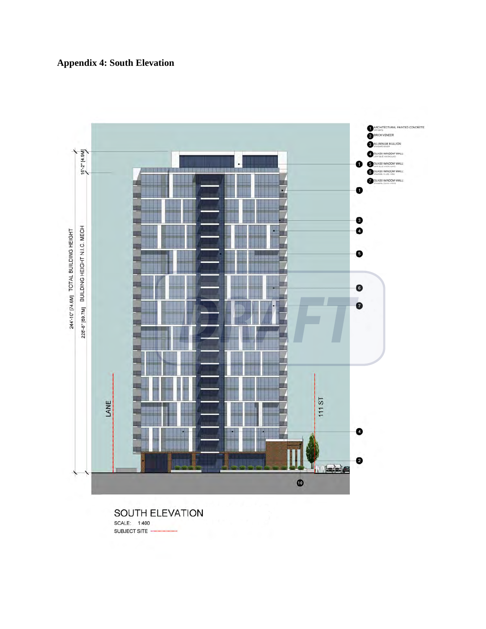



SOUTH ELEVATION SCALE: 1:400 SUBJECT SITE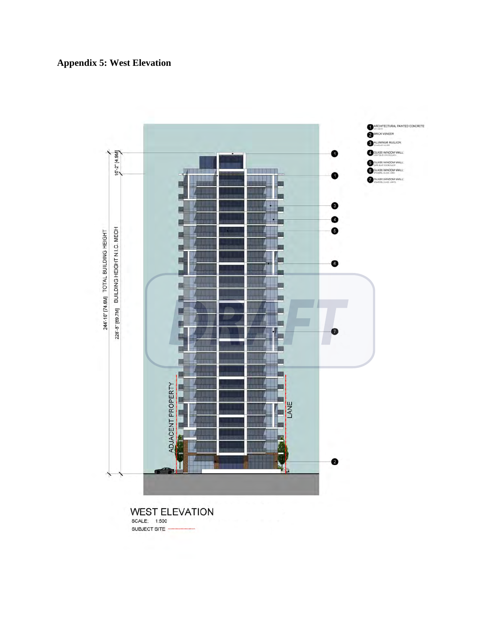



**WEST ELEVATION** SCALE: 1:500 SUBJECT SITE -